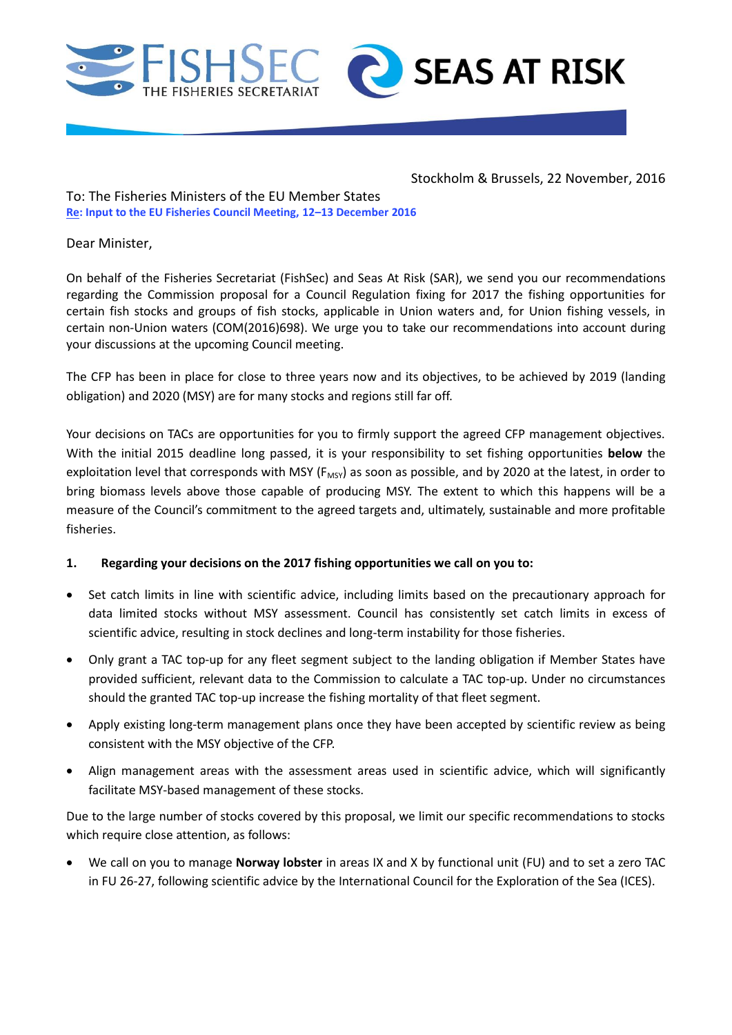



Stockholm & Brussels, 22 November, 2016

# To: The Fisheries Ministers of the EU Member States **Re: Input to the EU Fisheries Council Meeting, 12–13 December 2016**

Dear Minister,

On behalf of the Fisheries Secretariat (FishSec) and Seas At Risk (SAR), we send you our recommendations regarding the Commission proposal for a Council Regulation fixing for 2017 the fishing opportunities for certain fish stocks and groups of fish stocks, applicable in Union waters and, for Union fishing vessels, in certain non-Union waters (COM(2016)698). We urge you to take our recommendations into account during your discussions at the upcoming Council meeting.

The CFP has been in place for close to three years now and its objectives, to be achieved by 2019 (landing obligation) and 2020 (MSY) are for many stocks and regions still far off.

Your decisions on TACs are opportunities for you to firmly support the agreed CFP management objectives. With the initial 2015 deadline long passed, it is your responsibility to set fishing opportunities **below** the exploitation level that corresponds with MSY (F<sub>MSY</sub>) as soon as possible, and by 2020 at the latest, in order to bring biomass levels above those capable of producing MSY. The extent to which this happens will be a measure of the Council's commitment to the agreed targets and, ultimately, sustainable and more profitable fisheries.

# **1. Regarding your decisions on the 2017 fishing opportunities we call on you to:**

- Set catch limits in line with scientific advice, including limits based on the precautionary approach for data limited stocks without MSY assessment. Council has consistently set catch limits in excess of scientific advice, resulting in stock declines and long-term instability for those fisheries.
- Only grant a TAC top-up for any fleet segment subject to the landing obligation if Member States have provided sufficient, relevant data to the Commission to calculate a TAC top-up. Under no circumstances should the granted TAC top-up increase the fishing mortality of that fleet segment.
- Apply existing long-term management plans once they have been accepted by scientific review as being consistent with the MSY objective of the CFP.
- Align management areas with the assessment areas used in scientific advice, which will significantly facilitate MSY-based management of these stocks.

Due to the large number of stocks covered by this proposal, we limit our specific recommendations to stocks which require close attention, as follows:

 We call on you to manage **Norway lobster** in areas IX and X by functional unit (FU) and to set a zero TAC in FU 26-27, following scientific advice by the International Council for the Exploration of the Sea (ICES).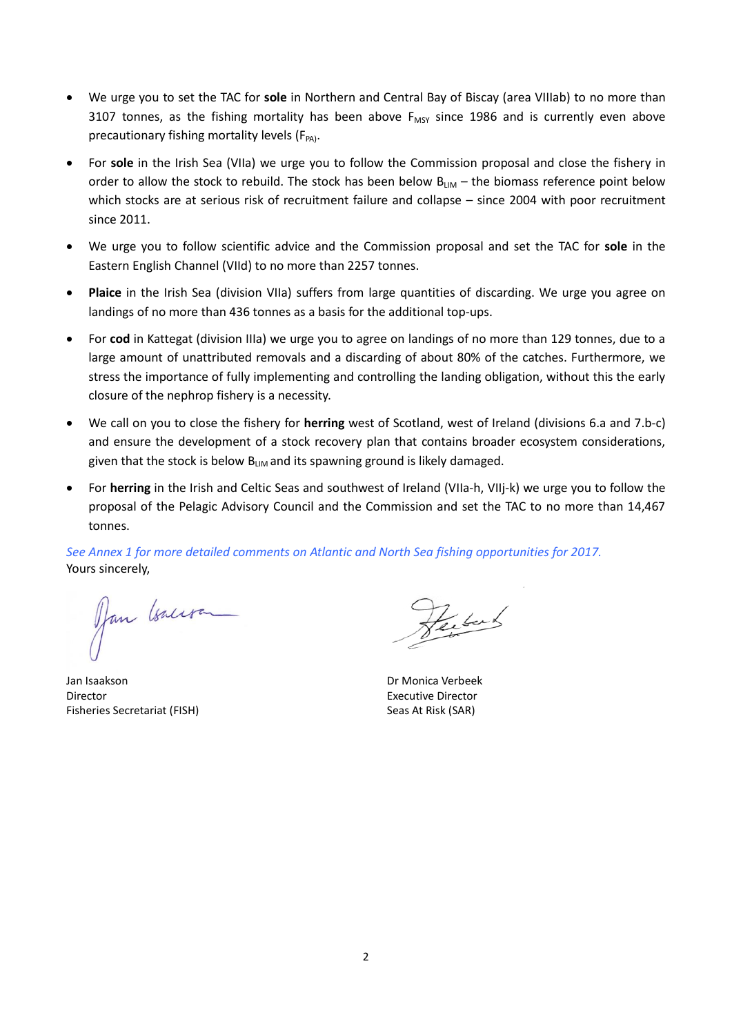- We urge you to set the TAC for **sole** in Northern and Central Bay of Biscay (area VIIIab) to no more than 3107 tonnes, as the fishing mortality has been above  $F_{MSY}$  since 1986 and is currently even above precautionary fishing mortality levels ( $F_{PA}$ ).
- For **sole** in the Irish Sea (VIIa) we urge you to follow the Commission proposal and close the fishery in order to allow the stock to rebuild. The stock has been below  $B_{LM}$  – the biomass reference point below which stocks are at serious risk of recruitment failure and collapse – since 2004 with poor recruitment since 2011.
- We urge you to follow scientific advice and the Commission proposal and set the TAC for **sole** in the Eastern English Channel (VIId) to no more than 2257 tonnes.
- **Plaice** in the Irish Sea (division VIIa) suffers from large quantities of discarding. We urge you agree on landings of no more than 436 tonnes as a basis for the additional top-ups.
- For **cod** in Kattegat (division IIIa) we urge you to agree on landings of no more than 129 tonnes, due to a large amount of unattributed removals and a discarding of about 80% of the catches. Furthermore, we stress the importance of fully implementing and controlling the landing obligation, without this the early closure of the nephrop fishery is a necessity.
- We call on you to close the fishery for **herring** west of Scotland, west of Ireland (divisions 6.a and 7.b-c) and ensure the development of a stock recovery plan that contains broader ecosystem considerations, given that the stock is below  $B_{LIM}$  and its spawning ground is likely damaged.
- For **herring** in the Irish and Celtic Seas and southwest of Ireland (VIIa-h, VIIj-k) we urge you to follow the proposal of the Pelagic Advisory Council and the Commission and set the TAC to no more than 14,467 tonnes.

*See Annex 1 for more detailed comments on Atlantic and North Sea fishing opportunities for 2017.* Yours sincerely,

Jan baccon

Jan Isaakson Dr Monica Verbeek Director Executive Director Fisheries Secretariat (FISH) Seas At Risk (SAR)

Feebert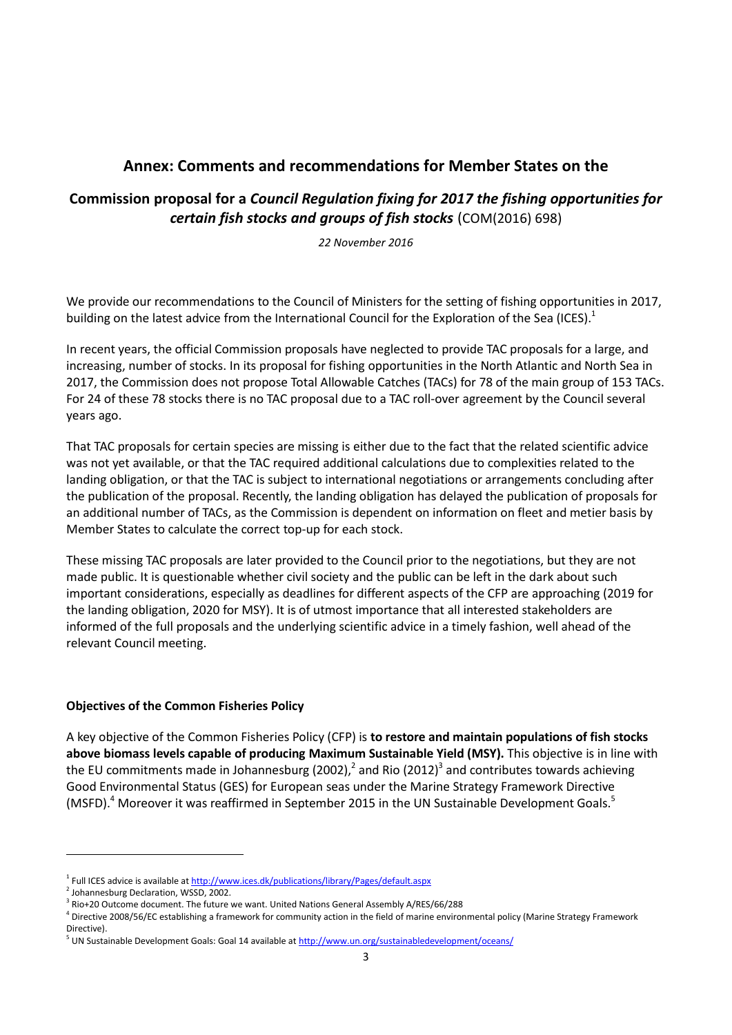# **Annex: Comments and recommendations for Member States on the**

# **Commission proposal for a** *Council Regulation fixing for 2017 the fishing opportunities for certain fish stocks and groups of fish stocks* (COM(2016) 698)

*22 November 2016*

We provide our recommendations to the Council of Ministers for the setting of fishing opportunities in 2017, building on the latest advice from the International Council for the Exploration of the Sea (ICES).<sup>1</sup>

In recent years, the official Commission proposals have neglected to provide TAC proposals for a large, and increasing, number of stocks. In its proposal for fishing opportunities in the North Atlantic and North Sea in 2017, the Commission does not propose Total Allowable Catches (TACs) for 78 of the main group of 153 TACs. For 24 of these 78 stocks there is no TAC proposal due to a TAC roll-over agreement by the Council several years ago.

That TAC proposals for certain species are missing is either due to the fact that the related scientific advice was not yet available, or that the TAC required additional calculations due to complexities related to the landing obligation, or that the TAC is subject to international negotiations or arrangements concluding after the publication of the proposal. Recently, the landing obligation has delayed the publication of proposals for an additional number of TACs, as the Commission is dependent on information on fleet and metier basis by Member States to calculate the correct top-up for each stock.

These missing TAC proposals are later provided to the Council prior to the negotiations, but they are not made public. It is questionable whether civil society and the public can be left in the dark about such important considerations, especially as deadlines for different aspects of the CFP are approaching (2019 for the landing obligation, 2020 for MSY). It is of utmost importance that all interested stakeholders are informed of the full proposals and the underlying scientific advice in a timely fashion, well ahead of the relevant Council meeting.

# **Objectives of the Common Fisheries Policy**

A key objective of the Common Fisheries Policy (CFP) is **to restore and maintain populations of fish stocks above biomass levels capable of producing Maximum Sustainable Yield (MSY).** This objective is in line with the EU commitments made in Johannesburg (2002),<sup>2</sup> and Rio (2012)<sup>3</sup> and contributes towards achieving Good Environmental Status (GES) for European seas under the Marine Strategy Framework Directive (MSFD).<sup>4</sup> Moreover it was reaffirmed in September 2015 in the UN Sustainable Development Goals.<sup>5</sup>

-

<sup>&</sup>lt;sup>1</sup> Full ICES advice is available a[t http://www.ices.dk/publications/library/Pages/default.aspx](http://www.ices.dk/publications/library/Pages/default.aspx)

<sup>2</sup> Johannesburg Declaration, WSSD, 2002.

<sup>&</sup>lt;sup>3</sup> Rio+20 Outcome document. The future we want. United Nations General Assembly A/RES/66/288

<sup>&</sup>lt;sup>4</sup> Directive 2008/56/EC establishing a framework for community action in the field of marine environmental policy (Marine Strategy Framework Directive).

<sup>&</sup>lt;sup>5</sup> UN Sustainable Development Goals: Goal 14 available a[t http://www.un.org/sustainabledevelopment/oceans/](http://www.un.org/sustainabledevelopment/oceans/)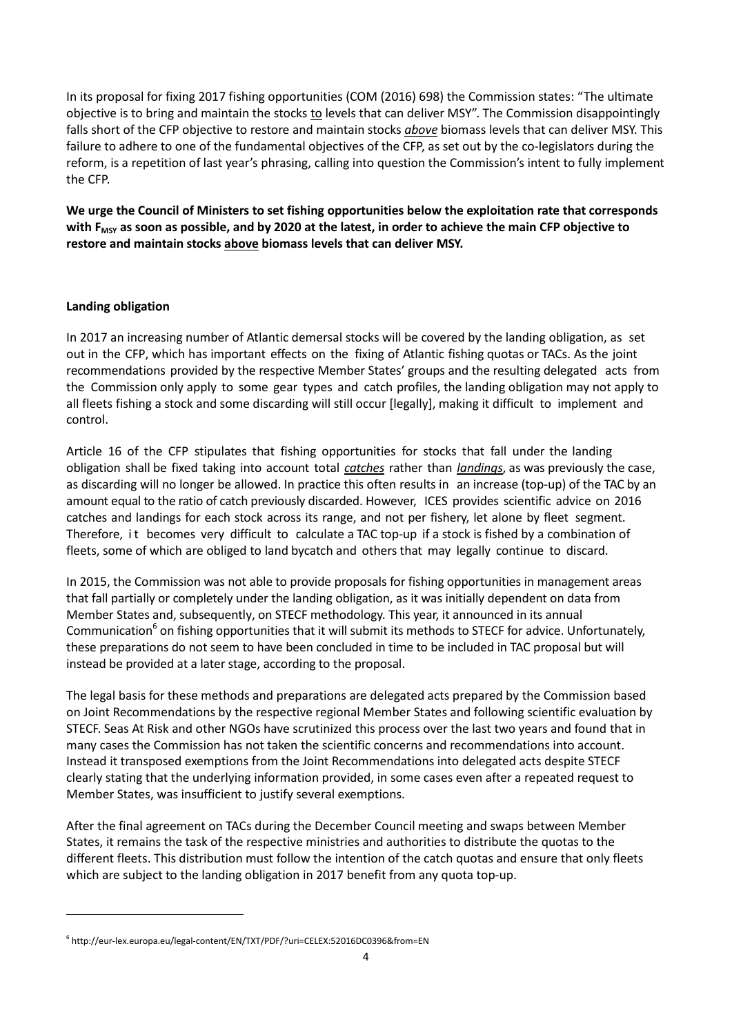In its proposal for fixing 2017 fishing opportunities (COM (2016) 698) the Commission states: "The ultimate objective is to bring and maintain the stocks to levels that can deliver MSY". The Commission disappointingly falls short of the CFP objective to restore and maintain stocks *above* biomass levels that can deliver MSY. This failure to adhere to one of the fundamental objectives of the CFP, as set out by the co-legislators during the reform, is a repetition of last year's phrasing, calling into question the Commission's intent to fully implement the CFP.

**We urge the Council of Ministers to set fishing opportunities below the exploitation rate that corresponds with FMSY as soon as possible, and by 2020 at the latest, in order to achieve the main CFP objective to restore and maintain stocks above biomass levels that can deliver MSY.**

## **Landing obligation**

-

In 2017 an increasing number of Atlantic demersal stocks will be covered by the landing obligation, as set out in the CFP, which has important effects on the fixing of Atlantic fishing quotas or TACs. As the joint recommendations provided by the respective Member States' groups and the resulting delegated acts from the Commission only apply to some gear types and catch profiles, the landing obligation may not apply to all fleets fishing a stock and some discarding will still occur [legally], making it difficult to implement and control.

Article 16 of the CFP stipulates that fishing opportunities for stocks that fall under the landing obligation shall be fixed taking into account total *catches* rather than *landings*, as was previously the case, as discarding will no longer be allowed. In practice this often results in an increase (top-up) of the TAC by an amount equal to the ratio of catch previously discarded. However, ICES provides scientific advice on 2016 catches and landings for each stock across its range, and not per fishery, let alone by fleet segment. Therefore, i t becomes very difficult to calculate a TAC top-up if a stock is fished by a combination of fleets, some of which are obliged to land bycatch and others that may legally continue to discard.

In 2015, the Commission was not able to provide proposals for fishing opportunities in management areas that fall partially or completely under the landing obligation, as it was initially dependent on data from Member States and, subsequently, on STECF methodology. This year, it announced in its annual Communication<sup>6</sup> on fishing opportunities that it will submit its methods to STECF for advice. Unfortunately, these preparations do not seem to have been concluded in time to be included in TAC proposal but will instead be provided at a later stage, according to the proposal.

The legal basis for these methods and preparations are delegated acts prepared by the Commission based on Joint Recommendations by the respective regional Member States and following scientific evaluation by STECF. Seas At Risk and other NGOs have scrutinized this process over the last two years and found that in many cases the Commission has not taken the scientific concerns and recommendations into account. Instead it transposed exemptions from the Joint Recommendations into delegated acts despite STECF clearly stating that the underlying information provided, in some cases even after a repeated request to Member States, was insufficient to justify several exemptions.

After the final agreement on TACs during the December Council meeting and swaps between Member States, it remains the task of the respective ministries and authorities to distribute the quotas to the different fleets. This distribution must follow the intention of the catch quotas and ensure that only fleets which are subject to the landing obligation in 2017 benefit from any quota top-up.

<sup>6</sup> http://eur-lex.europa.eu/legal-content/EN/TXT/PDF/?uri=CELEX:52016DC0396&from=EN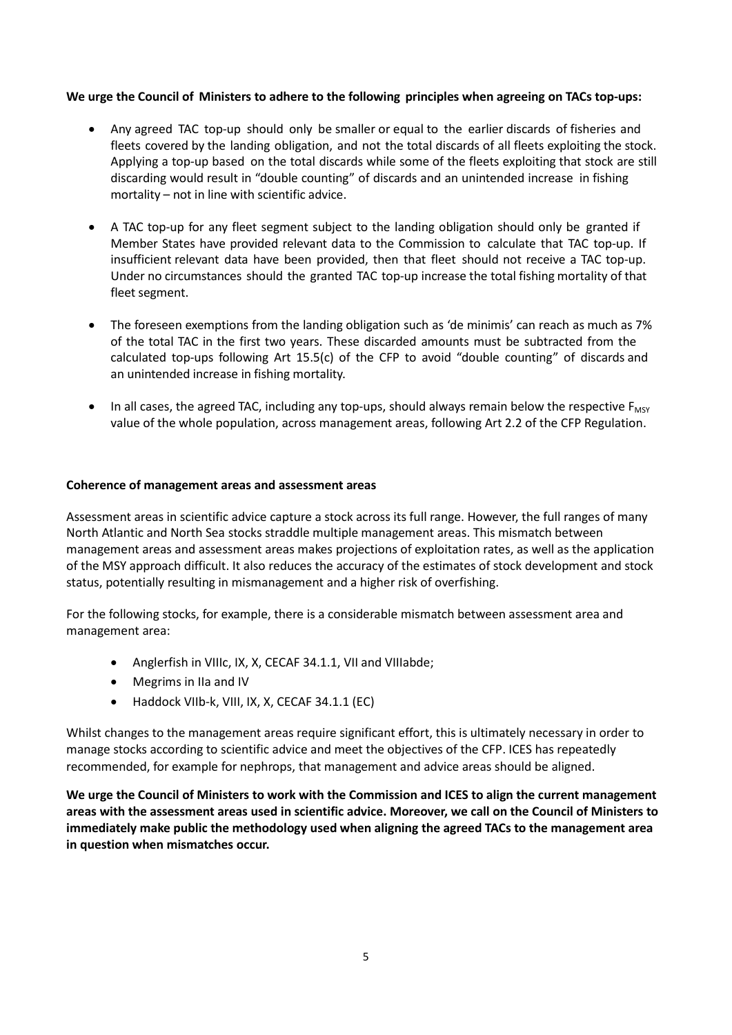#### **We urge the Council of Ministers to adhere to the following principles when agreeing on TACs top-ups:**

- Any agreed TAC top-up should only be smaller or equal to the earlier discards of fisheries and fleets covered by the landing obligation, and not the total discards of all fleets exploiting the stock. Applying a top-up based on the total discards while some of the fleets exploiting that stock are still discarding would result in "double counting" of discards and an unintended increase in fishing mortality – not in line with scientific advice.
- A TAC top-up for any fleet segment subject to the landing obligation should only be granted if Member States have provided relevant data to the Commission to calculate that TAC top-up. If insufficient relevant data have been provided, then that fleet should not receive a TAC top-up. Under no circumstances should the granted TAC top-up increase the total fishing mortality of that fleet segment.
- The foreseen exemptions from the landing obligation such as 'de minimis' can reach as much as 7% of the total TAC in the first two years. These discarded amounts must be subtracted from the calculated top-ups following Art 15.5(c) of the CFP to avoid "double counting" of discards and an unintended increase in fishing mortality.
- In all cases, the agreed TAC, including any top-ups, should always remain below the respective  $F_{MSY}$ value of the whole population, across management areas, following Art 2.2 of the CFP Regulation.

#### **Coherence of management areas and assessment areas**

Assessment areas in scientific advice capture a stock across its full range. However, the full ranges of many North Atlantic and North Sea stocks straddle multiple management areas. This mismatch between management areas and assessment areas makes projections of exploitation rates, as well as the application of the MSY approach difficult. It also reduces the accuracy of the estimates of stock development and stock status, potentially resulting in mismanagement and a higher risk of overfishing.

For the following stocks, for example, there is a considerable mismatch between assessment area and management area:

- Anglerfish in VIIIc, IX, X, CECAF 34.1.1, VII and VIIIabde;
- Megrims in IIa and IV
- Haddock VIIb-k, VIII, IX, X, CECAF 34.1.1 (EC)

Whilst changes to the management areas require significant effort, this is ultimately necessary in order to manage stocks according to scientific advice and meet the objectives of the CFP. ICES has repeatedly recommended, for example for nephrops, that management and advice areas should be aligned.

**We urge the Council of Ministers to work with the Commission and ICES to align the current management areas with the assessment areas used in scientific advice. Moreover, we call on the Council of Ministers to immediately make public the methodology used when aligning the agreed TACs to the management area in question when mismatches occur.**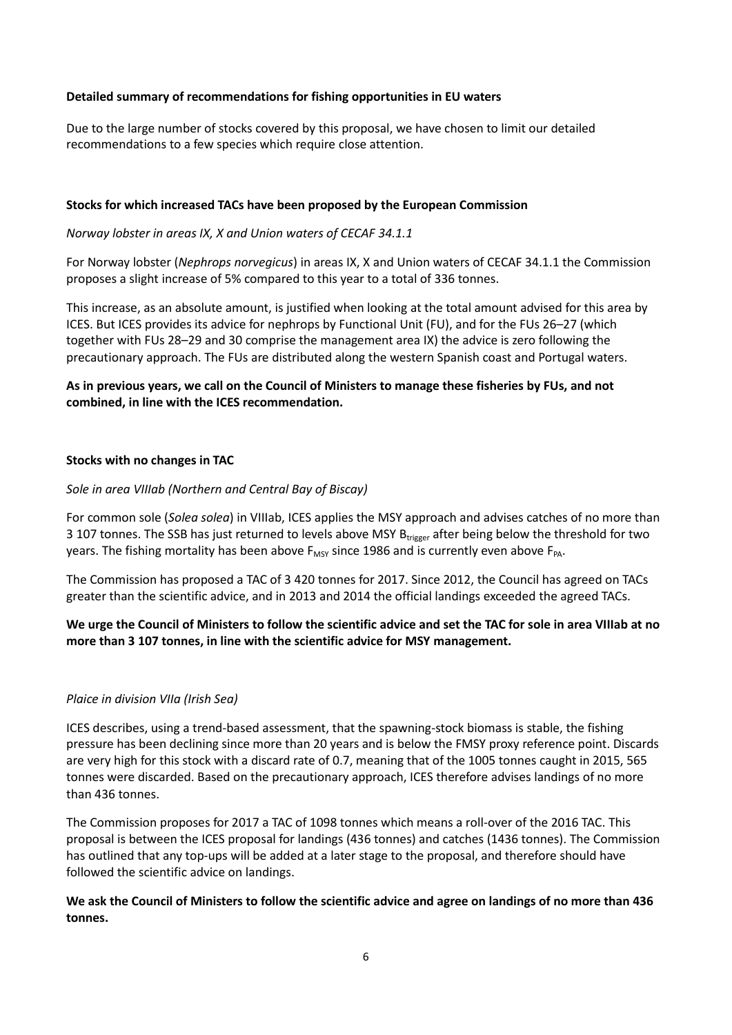#### **Detailed summary of recommendations for fishing opportunities in EU waters**

Due to the large number of stocks covered by this proposal, we have chosen to limit our detailed recommendations to a few species which require close attention.

#### **Stocks for which increased TACs have been proposed by the European Commission**

#### *Norway lobster in areas IX, X and Union waters of CECAF 34.1.1*

For Norway lobster (*Nephrops norvegicus*) in areas IX, X and Union waters of CECAF 34.1.1 the Commission proposes a slight increase of 5% compared to this year to a total of 336 tonnes.

This increase, as an absolute amount, is justified when looking at the total amount advised for this area by ICES. But ICES provides its advice for nephrops by Functional Unit (FU), and for the FUs 26–27 (which together with FUs 28–29 and 30 comprise the management area IX) the advice is zero following the precautionary approach. The FUs are distributed along the western Spanish coast and Portugal waters.

# **As in previous years, we call on the Council of Ministers to manage these fisheries by FUs, and not combined, in line with the ICES recommendation.**

#### **Stocks with no changes in TAC**

#### *Sole in area VIIIab (Northern and Central Bay of Biscay)*

For common sole (*Solea solea*) in VIIIab, ICES applies the MSY approach and advises catches of no more than 3 107 tonnes. The SSB has just returned to levels above MSY Btrigger after being below the threshold for two years. The fishing mortality has been above  $F_{MSV}$  since 1986 and is currently even above  $F_{PA}$ .

The Commission has proposed a TAC of 3 420 tonnes for 2017. Since 2012, the Council has agreed on TACs greater than the scientific advice, and in 2013 and 2014 the official landings exceeded the agreed TACs.

## **We urge the Council of Ministers to follow the scientific advice and set the TAC for sole in area VIIIab at no more than 3 107 tonnes, in line with the scientific advice for MSY management.**

#### *Plaice in division VIIa (Irish Sea)*

ICES describes, using a trend-based assessment, that the spawning-stock biomass is stable, the fishing pressure has been declining since more than 20 years and is below the FMSY proxy reference point. Discards are very high for this stock with a discard rate of 0.7, meaning that of the 1005 tonnes caught in 2015, 565 tonnes were discarded. Based on the precautionary approach, ICES therefore advises landings of no more than 436 tonnes.

The Commission proposes for 2017 a TAC of 1098 tonnes which means a roll-over of the 2016 TAC. This proposal is between the ICES proposal for landings (436 tonnes) and catches (1436 tonnes). The Commission has outlined that any top-ups will be added at a later stage to the proposal, and therefore should have followed the scientific advice on landings.

#### **We ask the Council of Ministers to follow the scientific advice and agree on landings of no more than 436 tonnes.**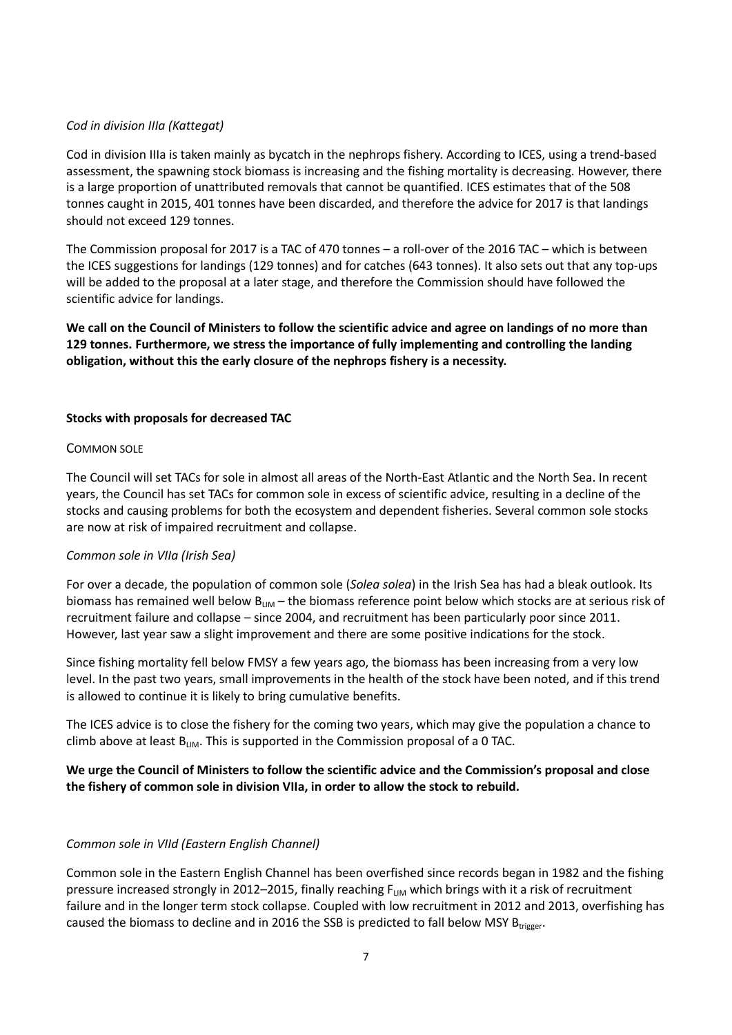#### *Cod in division IIIa (Kattegat)*

Cod in division IIIa is taken mainly as bycatch in the nephrops fishery. According to ICES, using a trend-based assessment, the spawning stock biomass is increasing and the fishing mortality is decreasing. However, there is a large proportion of unattributed removals that cannot be quantified. ICES estimates that of the 508 tonnes caught in 2015, 401 tonnes have been discarded, and therefore the advice for 2017 is that landings should not exceed 129 tonnes.

The Commission proposal for 2017 is a TAC of 470 tonnes – a roll-over of the 2016 TAC – which is between the ICES suggestions for landings (129 tonnes) and for catches (643 tonnes). It also sets out that any top-ups will be added to the proposal at a later stage, and therefore the Commission should have followed the scientific advice for landings.

**We call on the Council of Ministers to follow the scientific advice and agree on landings of no more than 129 tonnes. Furthermore, we stress the importance of fully implementing and controlling the landing obligation, without this the early closure of the nephrops fishery is a necessity.**

## **Stocks with proposals for decreased TAC**

#### COMMON SOLE

The Council will set TACs for sole in almost all areas of the North-East Atlantic and the North Sea. In recent years, the Council has set TACs for common sole in excess of scientific advice, resulting in a decline of the stocks and causing problems for both the ecosystem and dependent fisheries. Several common sole stocks are now at risk of impaired recruitment and collapse.

#### *Common sole in VIIa (Irish Sea)*

For over a decade, the population of common sole (*Solea solea*) in the Irish Sea has had a bleak outlook. Its biomass has remained well below  $B_{LIM}$  – the biomass reference point below which stocks are at serious risk of recruitment failure and collapse – since 2004, and recruitment has been particularly poor since 2011. However, last year saw a slight improvement and there are some positive indications for the stock.

Since fishing mortality fell below FMSY a few years ago, the biomass has been increasing from a very low level. In the past two years, small improvements in the health of the stock have been noted, and if this trend is allowed to continue it is likely to bring cumulative benefits.

The ICES advice is to close the fishery for the coming two years, which may give the population a chance to climb above at least  $B_{LIM}$ . This is supported in the Commission proposal of a 0 TAC.

# **We urge the Council of Ministers to follow the scientific advice and the Commission's proposal and close the fishery of common sole in division VIIa, in order to allow the stock to rebuild.**

# *Common sole in VIId (Eastern English Channel)*

Common sole in the Eastern English Channel has been overfished since records began in 1982 and the fishing pressure increased strongly in 2012–2015, finally reaching F<sub>LIM</sub> which brings with it a risk of recruitment failure and in the longer term stock collapse. Coupled with low recruitment in 2012 and 2013, overfishing has caused the biomass to decline and in 2016 the SSB is predicted to fall below MSY Btrigger.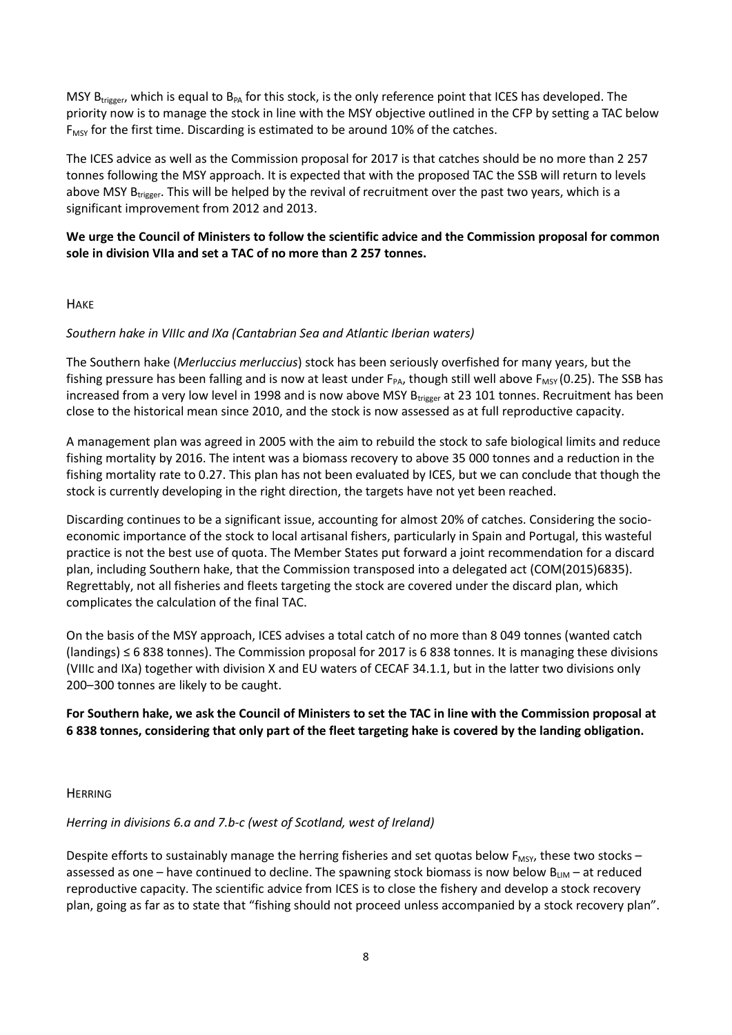MSY B<sub>trigger</sub>, which is equal to B<sub>PA</sub> for this stock, is the only reference point that ICES has developed. The priority now is to manage the stock in line with the MSY objective outlined in the CFP by setting a TAC below  $F_{MSV}$  for the first time. Discarding is estimated to be around 10% of the catches.

The ICES advice as well as the Commission proposal for 2017 is that catches should be no more than 2 257 tonnes following the MSY approach. It is expected that with the proposed TAC the SSB will return to levels above MSY B<sub>trigger</sub>. This will be helped by the revival of recruitment over the past two years, which is a significant improvement from 2012 and 2013.

# **We urge the Council of Ministers to follow the scientific advice and the Commission proposal for common sole in division VIIa and set a TAC of no more than 2 257 tonnes.**

# **HAKE**

# *Southern hake in VIIIc and IXa (Cantabrian Sea and Atlantic Iberian waters)*

The Southern hake (*Merluccius merluccius*) stock has been seriously overfished for many years, but the fishing pressure has been falling and is now at least under  $F_{PA}$ , though still well above  $F_{MSV}$  (0.25). The SSB has increased from a very low level in 1998 and is now above MSY B<sub>trigger</sub> at 23 101 tonnes. Recruitment has been close to the historical mean since 2010, and the stock is now assessed as at full reproductive capacity.

A management plan was agreed in 2005 with the aim to rebuild the stock to safe biological limits and reduce fishing mortality by 2016. The intent was a biomass recovery to above 35 000 tonnes and a reduction in the fishing mortality rate to 0.27. This plan has not been evaluated by ICES, but we can conclude that though the stock is currently developing in the right direction, the targets have not yet been reached.

Discarding continues to be a significant issue, accounting for almost 20% of catches. Considering the socioeconomic importance of the stock to local artisanal fishers, particularly in Spain and Portugal, this wasteful practice is not the best use of quota. The Member States put forward a joint recommendation for a discard plan, including Southern hake, that the Commission transposed into a delegated act (COM(2015)6835). Regrettably, not all fisheries and fleets targeting the stock are covered under the discard plan, which complicates the calculation of the final TAC.

On the basis of the MSY approach, ICES advises a total catch of no more than 8 049 tonnes (wanted catch (landings) ≤ 6 838 tonnes). The Commission proposal for 2017 is 6 838 tonnes. It is managing these divisions (VIIIc and IXa) together with division X and EU waters of CECAF 34.1.1, but in the latter two divisions only 200–300 tonnes are likely to be caught.

## **For Southern hake, we ask the Council of Ministers to set the TAC in line with the Commission proposal at 6 838 tonnes, considering that only part of the fleet targeting hake is covered by the landing obligation.**

# **HERRING**

# *Herring in divisions 6.a and 7.b-c (west of Scotland, west of Ireland)*

Despite efforts to sustainably manage the herring fisheries and set quotas below  $F_{MSV}$ , these two stocks – assessed as one – have continued to decline. The spawning stock biomass is now below  $B_{LIM}$  – at reduced reproductive capacity. The scientific advice from ICES is to close the fishery and develop a stock recovery plan, going as far as to state that "fishing should not proceed unless accompanied by a stock recovery plan".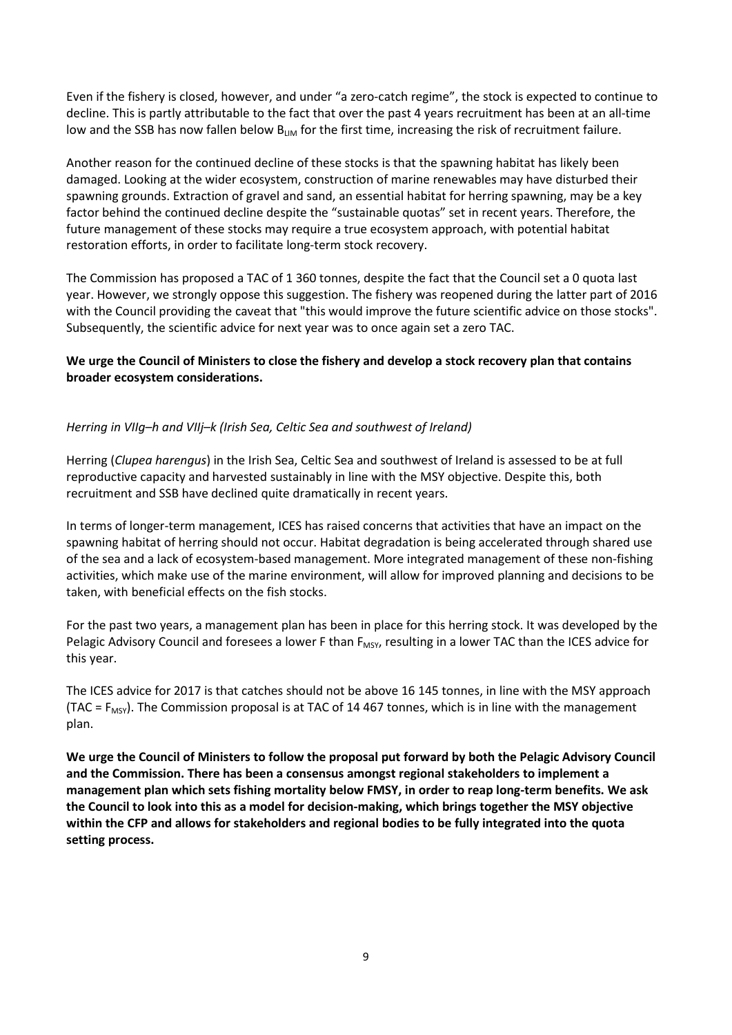Even if the fishery is closed, however, and under "a zero-catch regime", the stock is expected to continue to decline. This is partly attributable to the fact that over the past 4 years recruitment has been at an all-time low and the SSB has now fallen below  $B_{I/M}$  for the first time, increasing the risk of recruitment failure.

Another reason for the continued decline of these stocks is that the spawning habitat has likely been damaged. Looking at the wider ecosystem, construction of marine renewables may have disturbed their spawning grounds. Extraction of gravel and sand, an essential habitat for herring spawning, may be a key factor behind the continued decline despite the "sustainable quotas" set in recent years. Therefore, the future management of these stocks may require a true ecosystem approach, with potential habitat restoration efforts, in order to facilitate long-term stock recovery.

The Commission has proposed a TAC of 1 360 tonnes, despite the fact that the Council set a 0 quota last year. However, we strongly oppose this suggestion. The fishery was reopened during the latter part of 2016 with the Council providing the caveat that "this would improve the future scientific advice on those stocks". Subsequently, the scientific advice for next year was to once again set a zero TAC.

# We urge the Council of Ministers to close the fishery and develop a stock recovery plan that contains **broader ecosystem considerations.**

## *Herring in VIIg–h and VIIj–k (Irish Sea, Celtic Sea and southwest of Ireland)*

Herring (*Clupea harengus*) in the Irish Sea, Celtic Sea and southwest of Ireland is assessed to be at full reproductive capacity and harvested sustainably in line with the MSY objective. Despite this, both recruitment and SSB have declined quite dramatically in recent years.

In terms of longer-term management, ICES has raised concerns that activities that have an impact on the spawning habitat of herring should not occur. Habitat degradation is being accelerated through shared use of the sea and a lack of ecosystem-based management. More integrated management of these non-fishing activities, which make use of the marine environment, will allow for improved planning and decisions to be taken, with beneficial effects on the fish stocks.

For the past two years, a management plan has been in place for this herring stock. It was developed by the Pelagic Advisory Council and foresees a lower F than  $F_{MSV}$ , resulting in a lower TAC than the ICES advice for this year.

The ICES advice for 2017 is that catches should not be above 16 145 tonnes, in line with the MSY approach (TAC =  $F_{MSY}$ ). The Commission proposal is at TAC of 14 467 tonnes, which is in line with the management plan.

We urge the Council of Ministers to follow the proposal put forward by both the Pelagic Advisory Council **and the Commission. There has been a consensus amongst regional stakeholders to implement a management plan which sets fishing mortality below FMSY, in order to reap long-term benefits. We ask the Council to look into this as a model for decision-making, which brings together the MSY objective within the CFP and allows for stakeholders and regional bodies to be fully integrated into the quota setting process.**